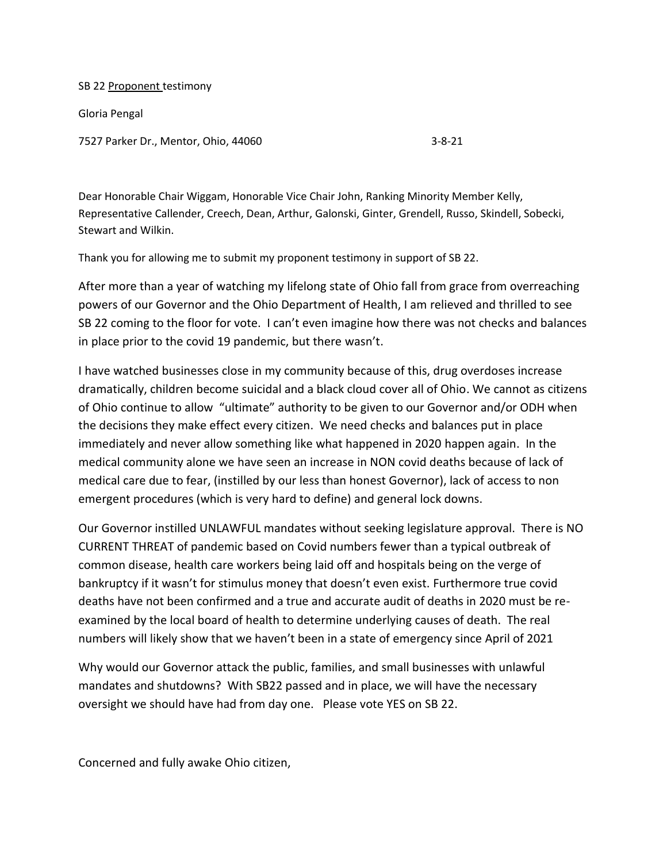SB 22 Proponent testimony

Gloria Pengal

7527 Parker Dr., Mentor, Ohio, 44060 3-8-21

Dear Honorable Chair Wiggam, Honorable Vice Chair John, Ranking Minority Member Kelly, Representative Callender, Creech, Dean, Arthur, Galonski, Ginter, Grendell, Russo, Skindell, Sobecki, Stewart and Wilkin.

Thank you for allowing me to submit my proponent testimony in support of SB 22.

After more than a year of watching my lifelong state of Ohio fall from grace from overreaching powers of our Governor and the Ohio Department of Health, I am relieved and thrilled to see SB 22 coming to the floor for vote. I can't even imagine how there was not checks and balances in place prior to the covid 19 pandemic, but there wasn't.

I have watched businesses close in my community because of this, drug overdoses increase dramatically, children become suicidal and a black cloud cover all of Ohio. We cannot as citizens of Ohio continue to allow "ultimate" authority to be given to our Governor and/or ODH when the decisions they make effect every citizen. We need checks and balances put in place immediately and never allow something like what happened in 2020 happen again. In the medical community alone we have seen an increase in NON covid deaths because of lack of medical care due to fear, (instilled by our less than honest Governor), lack of access to non emergent procedures (which is very hard to define) and general lock downs.

Our Governor instilled UNLAWFUL mandates without seeking legislature approval. There is NO CURRENT THREAT of pandemic based on Covid numbers fewer than a typical outbreak of common disease, health care workers being laid off and hospitals being on the verge of bankruptcy if it wasn't for stimulus money that doesn't even exist. Furthermore true covid deaths have not been confirmed and a true and accurate audit of deaths in 2020 must be reexamined by the local board of health to determine underlying causes of death. The real numbers will likely show that we haven't been in a state of emergency since April of 2021

Why would our Governor attack the public, families, and small businesses with unlawful mandates and shutdowns? With SB22 passed and in place, we will have the necessary oversight we should have had from day one. Please vote YES on SB 22.

Concerned and fully awake Ohio citizen,